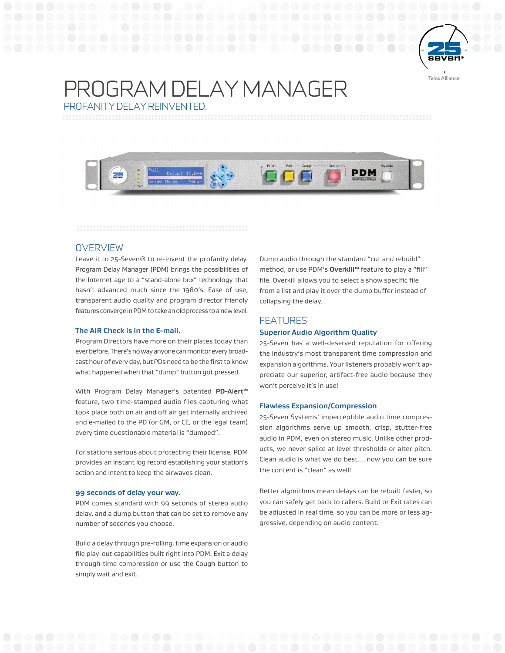

# PROGRAM DELAY MANAGER PROFANITY DELAY REINVENTED.



# **OVERVIEW**

Leave it to 25-Seven® to re-invent the profanity delay. Program Delay Manager (PDM) brings the possibilities of the Internet age to a "stand-alone box" technology that hasn't advanced much since the 1980's. Ease of use, transparent audio quality and program director friendly features converge in PDM to take an old process to a new level.

### **The AIR Check is in the E-mail.**

Program Directors have more on their plates today than ever before. There's no way anyone can monitor every broadcast hour of every day, but PDs need to be the first to know what happened when that "dump" button got pressed.

With Program Delay Manager's patented **PD-Alert™** feature, two time-stamped audio files capturing what took place both on air and off air get internally archived and e-mailed to the PD (or GM, or CE, or the legal team) every time questionable material is "dumped".

For stations serious about protecting their license, PDM provides an instant log record establishing your station's action and intent to keep the airwaves clean.

### **99 seconds of delay your way.**

PDM comes standard with 99 seconds of stereo audio delay, and a dump button that can be set to remove any number of seconds you choose.

Build a delay through pre-rolling, time expansion or audio file play-out capabilities built right into PDM. Exit a delay through time compression or use the Cough button to simply wait and exit.

Dump audio through the standard "cut and rebuild" method, or use PDM's **Overkill™** feature to play a "fill" file. Overkill allows you to select a show specific file from a list and play it over the dump buffer instead of collapsing the delay.

# FEATURES

#### **Superior Audio Algorithm Quality**

25-Seven has a well-deserved reputation for offering the industry's most transparent time compression and expansion algorithms. Your listeners probably won't appreciate our superior, artifact-free audio because they won't perceive it's in use!

#### **Flawless Expansion/Compression**

25-Seven Systems' imperceptible audio time compression algorithms serve up smooth, crisp, stutter-free audio in PDM, even on stereo music. Unlike other products, we never splice at level thresholds or alter pitch. Clean audio is what we do best… now you can be sure the content is "clean" as well!

Better algorithms mean delays can be rebuilt faster, so you can safely get back to callers. Build or Exit rates can be adjusted in real time, so you can be more or less aggressive, depending on audio content.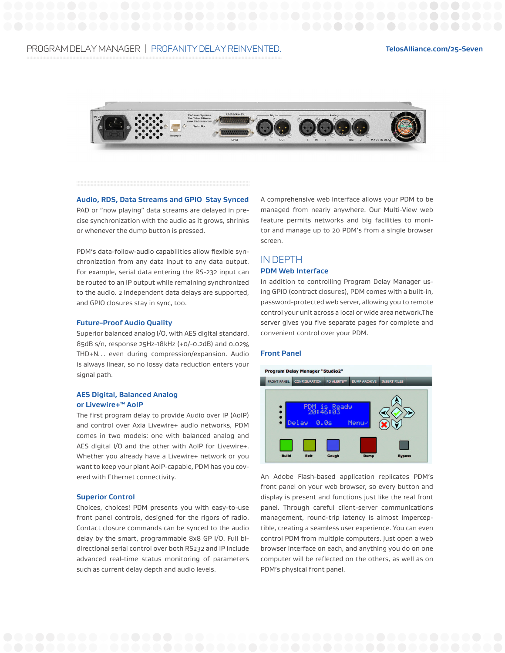

**Audio, RDS, Data Streams and GPIO Stay Synced**

PAD or "now playing" data streams are delayed in precise synchronization with the audio as it grows, shrinks or whenever the dump button is pressed.

PDM's data-follow-audio capabilities allow flexible synchronization from any data input to any data output. For example, serial data entering the RS-232 input can be routed to an IP output while remaining synchronized to the audio. 2 independent data delays are supported, and GPIO closures stay in sync, too.

#### **Future-Proof Audio Quality**

Superior balanced analog I/O, with AES digital standard. 85dB s/n, response 25Hz-18kHz (+0/-0.2dB) and 0.02% THD+N… even during compression/expansion. Audio is always linear, so no lossy data reduction enters your signal path.

## **AES Digital, Balanced Analog or Livewire+™ AoIP**

The first program delay to provide Audio over IP (AoIP) and control over Axia Livewire+ audio networks, PDM comes in two models: one with balanced analog and AES digital I/O and the other with AoIP for Livewire+. Whether you already have a Livewire+ network or you want to keep your plant AoIP-capable, PDM has you covered with Ethernet connectivity.

#### **Superior Control**

Choices, choices! PDM presents you with easy-to-use front panel controls, designed for the rigors of radio. Contact closure commands can be synced to the audio delay by the smart, programmable 8x8 GP I/O. Full bidirectional serial control over both RS232 and IP include advanced real-time status monitoring of parameters such as current delay depth and audio levels.

A comprehensive web interface allows your PDM to be managed from nearly anywhere. Our Multi-View web feature permits networks and big facilities to monitor and manage up to 20 PDM's from a single browser screen.

# IN DEPTH

# **PDM Web Interface**

In addition to controlling Program Delay Manager using GPIO (contract closures), PDM comes with a built-in, password-protected web server, allowing you to remote control your unit across a local or wide area network.The server gives you five separate pages for complete and convenient control over your PDM.

### **Front Panel**



An Adobe Flash-based application replicates PDM's front panel on your web browser, so every button and display is present and functions just like the real front panel. Through careful client-server communications management, round-trip latency is almost imperceptible, creating a seamless user experience. You can even control PDM from multiple computers. Just open a web browser interface on each, and anything you do on one computer will be reflected on the others, as well as on PDM's physical front panel.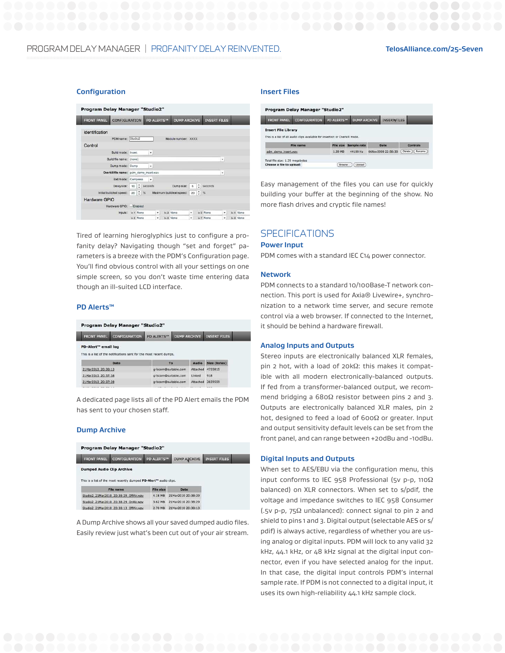# PROGRAM DELAY MANAGER | PROFANITY DELAY REINVENTED. **TelosAlliance.com/25-Seven**

#### **Configuration**

| <b>FRONT PANEL</b> | CONFIGURATION                           |           |                 |   | <b>PD ALERTS™</b> | <b>DUMP ARCHIVE</b>       |                |      | <b>INSERT FILES</b>   |   |           |
|--------------------|-----------------------------------------|-----------|-----------------|---|-------------------|---------------------------|----------------|------|-----------------------|---|-----------|
| Identification     |                                         |           |                 |   |                   |                           |                |      |                       |   |           |
|                    | PDM name: Studio2                       |           |                 |   |                   | Module number: XXXX       |                |      |                       |   |           |
| Control            |                                         |           |                 |   |                   |                           |                |      |                       |   |           |
|                    | Build mode: Insert                      |           |                 | ٠ |                   |                           |                |      |                       |   |           |
|                    | Build file name: (none)                 |           |                 |   |                   |                           |                |      |                       | ٠ |           |
|                    | Dump mode: Dump                         |           |                 | ٠ |                   |                           |                |      |                       |   |           |
|                    | Overkill file name: pdm_demo_insert.wav |           |                 |   |                   |                           |                |      |                       | ٠ |           |
|                    | Exit mode: Compress                     |           |                 | ٠ |                   |                           |                |      |                       |   |           |
|                    | Delaysize:                              | 10        | $\div$ seconds  |   |                   | Dump size:                | $\overline{5}$ |      | $\frac{4}{5}$ seconds |   |           |
|                    | Initial build/exit speed:               | 20        | $\frac{1}{2}$ % |   |                   | Maximum build/exit speed: | 20             | 2.96 |                       |   |           |
| Hardware GPIO      |                                         |           |                 |   |                   |                           |                |      |                       |   |           |
|                    | Hardware GPIO: Enabled                  |           |                 |   |                   |                           |                |      |                       |   |           |
|                    | Inputs:                                 | In 1 None |                 |   | ۰                 | In 2 None                 | ۰              |      | In 3 None             | ٠ | In 4 None |
|                    |                                         | In 5 None |                 |   | ٠                 | In 8 None                 | ٠              |      | In 7 None             | ٠ | In B None |

Tired of learning hieroglyphics just to configure a profanity delay? Navigating though "set and forget" parameters is a breeze with the PDM's Configuration page. You'll find obvious control with all your settings on one simple screen, so you don't waste time entering data though an ill-suited LCD interface.

#### **PD Alerts™**

| <b>FRONT PANEL</b>                                             | <b>CONFIGURATION</b>                                                | <b>DUMP ARCHIVE</b><br>PD ALERTS™ |  |          | <b>INSERT FILES</b> |
|----------------------------------------------------------------|---------------------------------------------------------------------|-----------------------------------|--|----------|---------------------|
| PD-Alert <sup>74</sup> email log                               | This is a list of the notifications sent for the most recent dumps. |                                   |  |          |                     |
|                                                                |                                                                     |                                   |  |          |                     |
|                                                                | Date                                                                | To                                |  | Audio    | Size (bytes)        |
|                                                                |                                                                     | griscom@suitable.com              |  | Attached | 4755815             |
|                                                                |                                                                     | griscom@suitable.com              |  | Linked   | 918                 |
| 21Mar2010 20:38:13<br>21Mar2010 20:37:38<br>21Mar2010 20:37:38 |                                                                     | griscom@suitable.com              |  | Attached | 3659559             |

A dedicated page lists all of the PD Alert emails the PDM has sent to your chosen staff.

#### **Dump Archive**

| <b>FRONT PANEL</b>               | <b>CONFIGURATION</b>                                                          | PD ALERTS™ | <b>DUMP ARCHIVE</b> | <b>INSERT FILES</b> |
|----------------------------------|-------------------------------------------------------------------------------|------------|---------------------|---------------------|
| <b>Dumped Audio Clip Archive</b> |                                                                               |            |                     |                     |
|                                  | This is a list of the most recently dumped PD-Alert <sup>m</sup> audio clips. |            |                     |                     |
|                                  | File name                                                                     | File size  | Date                |                     |
|                                  | Studio2 21Mar2010 20:38:29 OffAir.wav                                         | 4.18 MB    | 21Mar2010 20:38:29  |                     |
|                                  | Studio2 21Mar2010 20:38:29 OnAir.wav                                          | 3.62 MB    | 21Mar2010 20:38:29  |                     |

A Dump Archive shows all your saved dumped audio files. Easily review just what's been cut out of your air stream.

## **Insert Files**

| <b>FRONT PANEL</b>         | <b>CONFIGURATION</b>                                                        | PD ALERTS™ | <b>DUMP ARCHIVE</b>   | <b>INSERTMEILES</b> |                  |
|----------------------------|-----------------------------------------------------------------------------|------------|-----------------------|---------------------|------------------|
| <b>Insert File Library</b> |                                                                             |            |                       |                     |                  |
|                            | This is a list of all audio clips available for insertion or Overkill mode. |            |                       |                     |                  |
|                            | <b>File name</b>                                                            |            | File size Sample rate | Date                | Controls         |
| pdm_demo_insert.wav        |                                                                             | 1.39 MB    | 44100 Hz              | 06Nov2008 22:58:30  | Delete<br>Rename |

Easy management of the files you can use for quickly building your buffer at the beginning of the show. No more flash drives and cryptic file names!

# **SPECIFICATIONS**

#### **Power Input**

PDM comes with a standard IEC C14 power connector.

#### **Network**

PDM connects to a standard 10/100Base-T network connection. This port is used for Axia® Livewire+, synchronization to a network time server, and secure remote control via a web browser. If connected to the Internet, it should be behind a hardware firewall.

#### **Analog Inputs and Outputs**

Stereo inputs are electronically balanced XLR females, pin 2 hot, with a load of 20kΩ: this makes it compatible with all modern electronically-balanced outputs. If fed from a transformer-balanced output, we recommend bridging a 680Ω resistor between pins 2 and 3. Outputs are electronically balanced XLR males, pin 2 hot, designed to feed a load of 600Ω or greater. Input and output sensitivity default levels can be set from the front panel, and can range between +20dBu and -10dBu.

#### **Digital Inputs and Outputs**

When set to AES/EBU via the configuration menu, this input conforms to IEC 958 Professional (5v p-p, 110Ω balanced) on XLR connectors. When set to s/pdif, the voltage and impedance switches to IEC 958 Consumer (.5v p-p, 75Ω unbalanced): connect signal to pin 2 and shield to pins 1 and 3. Digital output (selectable AES or s/ pdif) is always active, regardless of whether you are using analog or digital inputs. PDM will lock to any valid 32 kHz, 44.1 kHz, or 48 kHz signal at the digital input connector, even if you have selected analog for the input. In that case, the digital input controls PDM's internal sample rate. If PDM is not connected to a digital input, it uses its own high-reliability 44.1 kHz sample clock.